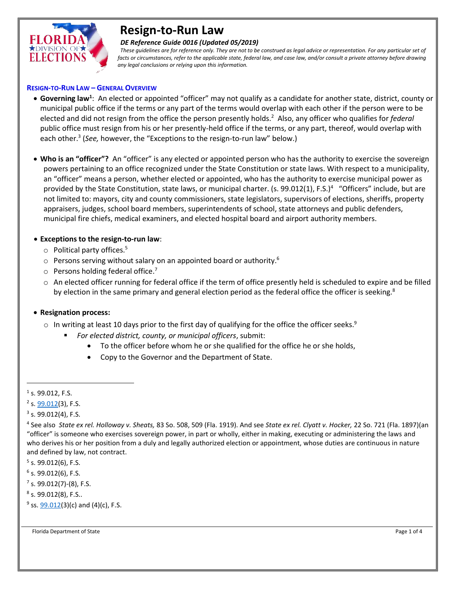

# **Resign-to-Run Law**

#### *DE Reference Guide 0016 (Updated 05/2019)*

 *These guidelines are for reference only. They are not to be construed as legal advice or representation. For any particular set of facts or circumstances, refer to the applicable state, federal law, and case law, and/or consult a private attorney before drawing any legal conclusions or relying upon this information.*

#### **RESIGN-TO-RUN LAW – GENERAL OVERVIEW**

- **Governing law<sup>1</sup>** : An elected or appointed "officer" may not qualify as a candidate for another state, district, county or municipal public office if the terms or any part of the terms would overlap with each other if the person were to be elected and did not resign from the office the person presently holds.<sup>2</sup> Also, any officer who qualifies for *federal* public office must resign from his or her presently-held office if the terms, or any part, thereof, would overlap with each other.<sup>3</sup> (*See,* however, the "Exceptions to the resign-to-run law" below.)
- **Who is an "officer"?** An "officer" is any elected or appointed person who has the authority to exercise the sovereign powers pertaining to an office recognized under the State Constitution or state laws. With respect to a municipality, an "officer" means a person, whether elected or appointed, who has the authority to exercise municipal power as provided by the State Constitution, state laws, or municipal charter. (s. 99.012(1), F.S.)<sup>4</sup> "Officers" include, but are not limited to: mayors, city and county commissioners, state legislators, supervisors of elections, sheriffs, property appraisers, judges, school board members, superintendents of school, state attorneys and public defenders, municipal fire chiefs, medical examiners, and elected hospital board and airport authority members.

## **Exceptions to the resign-to-run law**:

- o Political party offices. 5
- $\circ$  Persons serving without salary on an appointed board or authority.<sup>6</sup>
- $\circ$  Persons holding federal office.<sup>7</sup>
- o An elected officer running for federal office if the term of office presently held is scheduled to expire and be filled by election in the same primary and general election period as the federal office the officer is seeking.<sup>8</sup>

## **Resignation process:**

- $\circ$  In writing at least 10 days prior to the first day of qualifying for the office the officer seeks.<sup>9</sup>
	- *For elected district, county, or municipal officers*, submit:
		- To the officer before whom he or she qualified for the office he or she holds,
		- Copy to the Governor and the Department of State.
- $<sup>1</sup>$  s. 99.012, F.S.</sup>

l

<sup>6</sup> s. 99.012(6), F.S.

<sup>7</sup> s. 99.012(7)-(8), F.S.

- <sup>8</sup> s. 99.012(8), F.S..
- <sup>9</sup> ss. <u>99.012(</u>3)(c) and (4)(c), F.S.

Florida Department of State Page 1 of 4

<sup>&</sup>lt;sup>2</sup> s. <u>99.012</u>(3), F.S.

 $3$  s. 99.012(4), F.S.

<sup>4</sup> See also *State ex rel. Holloway v. Sheats,* 83 So. 508, 509 (Fla. 1919). And see *State ex rel. Clyatt v. Hocker,* 22 So. 721 (Fla. 1897)(an "officer" is someone who exercises sovereign power, in part or wholly, either in making, executing or administering the laws and who derives his or her position from a duly and legally authorized election or appointment, whose duties are continuous in nature and defined by law, not contract.

<sup>&</sup>lt;sup>5</sup> s. 99.012(6), F.S.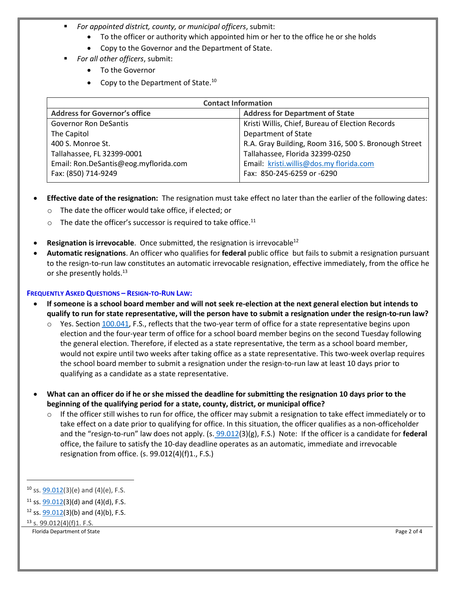- *For appointed district, county, or municipal officers*, submit:
	- To the officer or authority which appointed him or her to the office he or she holds
	- Copy to the Governor and the Department of State.
	- *For all other officers*, submit:
		- To the Governor
		- Copy to the Department of State. $^{10}$

| <b>Contact Information</b>            |                                                      |
|---------------------------------------|------------------------------------------------------|
| <b>Address for Governor's office</b>  | <b>Address for Department of State</b>               |
| <b>Governor Ron DeSantis</b>          | Kristi Willis, Chief, Bureau of Election Records     |
| The Capitol                           | Department of State                                  |
| 400 S. Monroe St.                     | R.A. Gray Building, Room 316, 500 S. Bronough Street |
| Tallahassee, FL 32399-0001            | Tallahassee, Florida 32399-0250                      |
| Email: Ron.DeSantis@eog.myflorida.com | Email: kristi.willis@dos.my florida.com              |
| Fax: (850) 714-9249                   | Fax: 850-245-6259 or -6290                           |

- **Effective date of the resignation:** The resignation must take effect no later than the earlier of the following dates:
	- o The date the officer would take office, if elected; or
	- $\circ$  The date the officer's successor is required to take office.<sup>11</sup>
- **Resignation is irrevocable**. Once submitted, the resignation is irrevocable<sup>12</sup>
- **Automatic resignations**. An officer who qualifies for **federal** public office but fails to submit a resignation pursuant to the resign-to-run law constitutes an automatic irrevocable resignation, effective immediately, from the office he or she presently holds.<sup>13</sup>

#### **FREQUENTLY ASKED QUESTIONS – RESIGN-TO-RUN LAW:**

- **If someone is a school board member and will not seek re-election at the next general election but intends to qualify to run for state representative, will the person have to submit a resignation under the resign-to-run law?**
	- Yes. Section [100.041,](http://www.leg.state.fl.us/statutes/index.cfm?mode=View%20Statutes&SubMenu=1&App_mode=Display_Statute&Search_String=100.041&URL=0100-0199/0100/Sections/0100.041.html) F.S., reflects that the two-year term of office for a state representative begins upon election and the four-year term of office for a school board member begins on the second Tuesday following the general election. Therefore, if elected as a state representative, the term as a school board member, would not expire until two weeks after taking office as a state representative. This two-week overlap requires the school board member to submit a resignation under the resign-to-run law at least 10 days prior to qualifying as a candidate as a state representative.
- **What can an officer do if he or she missed the deadline for submitting the resignation 10 days prior to the beginning of the qualifying period for a state, county, district, or municipal office?**
	- $\circ$  If the officer still wishes to run for office, the officer may submit a resignation to take effect immediately or to take effect on a date prior to qualifying for office. In this situation, the officer qualifies as a non-officeholder and the "resign-to-run" law does not apply. (s. [99.012\(](http://www.leg.state.fl.us/statutes/index.cfm?mode=View%20Statutes&SubMenu=1&App_mode=Display_Statute&Search_String=99.012&URL=0000-0099/0099/Sections/0099.012.html)3)(g), F.S.) Note: If the officer is a candidate for **federal**  office, the failure to satisfy the 10-day deadline operates as an automatic, immediate and irrevocable resignation from office. (s. 99.012(4)(f)1., F.S.)

 $\overline{\phantom{a}}$ 

Florida Department of State **Page 2 of 4** Page 2 of 4

 $10$  ss.  $99.012(3)(e)$  and  $(4)(e)$ , F.S.

<sup>&</sup>lt;sup>11</sup> ss. [99.012\(](http://www.leg.state.fl.us/statutes/index.cfm?mode=View%20Statutes&SubMenu=1&App_mode=Display_Statute&Search_String=99.012&URL=0000-0099/0099/Sections/0099.012.html)3)(d) and (4)(d), F.S.

<sup>&</sup>lt;sup>12</sup> ss.  $99.012(3)(b)$  and (4)(b), F.S.

<sup>13</sup> s. 99.012(4)(f)1. F.S.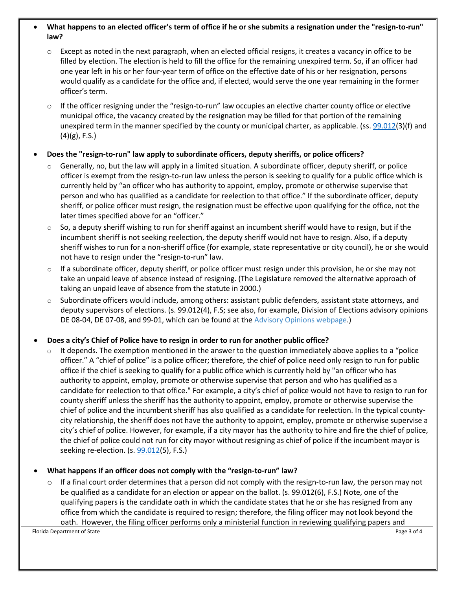#### **What happens to an elected officer's term of office if he or she submits a resignation under the "resign-to-run" law?**

- $\circ$  Except as noted in the next paragraph, when an elected official resigns, it creates a vacancy in office to be filled by election. The election is held to fill the office for the remaining unexpired term. So, if an officer had one year left in his or her four-year term of office on the effective date of his or her resignation, persons would qualify as a candidate for the office and, if elected, would serve the one year remaining in the former officer's term.
- $\circ$  If the officer resigning under the "resign-to-run" law occupies an elective charter county office or elective municipal office, the vacancy created by the resignation may be filled for that portion of the remaining unexpired term in the manner specified by the county or municipal charter, as applicable. (ss. [99.012\(](http://www.leg.state.fl.us/statutes/index.cfm?mode=View%20Statutes&SubMenu=1&App_mode=Display_Statute&Search_String=99.012&URL=0000-0099/0099/Sections/0099.012.html)3)(f) and  $(4)(g)$ , F.S.)

## **Does the "resign-to-run" law apply to subordinate officers, deputy sheriffs, or police officers?**

- Generally, no, but the law will apply in a limited situation. A subordinate officer, deputy sheriff, or police officer is exempt from the resign-to-run law unless the person is seeking to qualify for a public office which is currently held by "an officer who has authority to appoint, employ, promote or otherwise supervise that person and who has qualified as a candidate for reelection to that office." If the subordinate officer, deputy sheriff, or police officer must resign, the resignation must be effective upon qualifying for the office, not the later times specified above for an "officer."
- $\circ$  So, a deputy sheriff wishing to run for sheriff against an incumbent sheriff would have to resign, but if the incumbent sheriff is not seeking reelection, the deputy sheriff would not have to resign. Also, if a deputy sheriff wishes to run for a non-sheriff office (for example, state representative or city council), he or she would not have to resign under the "resign-to-run" law.
- $\circ$  If a subordinate officer, deputy sheriff, or police officer must resign under this provision, he or she may not take an unpaid leave of absence instead of resigning. (The Legislature removed the alternative approach of taking an unpaid leave of absence from the statute in 2000.)
- $\circ$  Subordinate officers would include, among others: assistant public defenders, assistant state attorneys, and deputy supervisors of elections. (s. 99.012(4), F.S; see also, for example, Division of Elections advisory opinions DE 08-04, DE 07-08, and 99-01, which can be found at the [Advisory Opinions webpage.](http://dos.myflorida.com/elections/laws-rules/advisory-opinions/))

## **Does a city's Chief of Police have to resign in order to run for another public office?**

 $\circ$  It depends. The exemption mentioned in the answer to the question immediately above applies to a "police" officer." A "chief of police" is a police officer; therefore, the chief of police need only resign to run for public office if the chief is seeking to qualify for a public office which is currently held by "an officer who has authority to appoint, employ, promote or otherwise supervise that person and who has qualified as a candidate for reelection to that office." For example, a city's chief of police would not have to resign to run for county sheriff unless the sheriff has the authority to appoint, employ, promote or otherwise supervise the chief of police and the incumbent sheriff has also qualified as a candidate for reelection. In the typical countycity relationship, the sheriff does not have the authority to appoint, employ, promote or otherwise supervise a city's chief of police. However, for example, if a city mayor has the authority to hire and fire the chief of police, the chief of police could not run for city mayor without resigning as chief of police if the incumbent mayor is seeking re-election. (s. [99.012\(](http://www.leg.state.fl.us/statutes/index.cfm?mode=View%20Statutes&SubMenu=1&App_mode=Display_Statute&Search_String=99.012&URL=0000-0099/0099/Sections/0099.012.html)5), F.S.)

## **What happens if an officer does not comply with the "resign-to-run" law?**

 $\circ$  If a final court order determines that a person did not comply with the resign-to-run law, the person may not be qualified as a candidate for an election or appear on the ballot. (s. 99.012(6), F.S.) Note, one of the qualifying papers is the candidate oath in which the candidate states that he or she has resigned from any office from which the candidate is required to resign; therefore, the filing officer may not look beyond the oath. However, the filing officer performs only a ministerial function in reviewing qualifying papers and